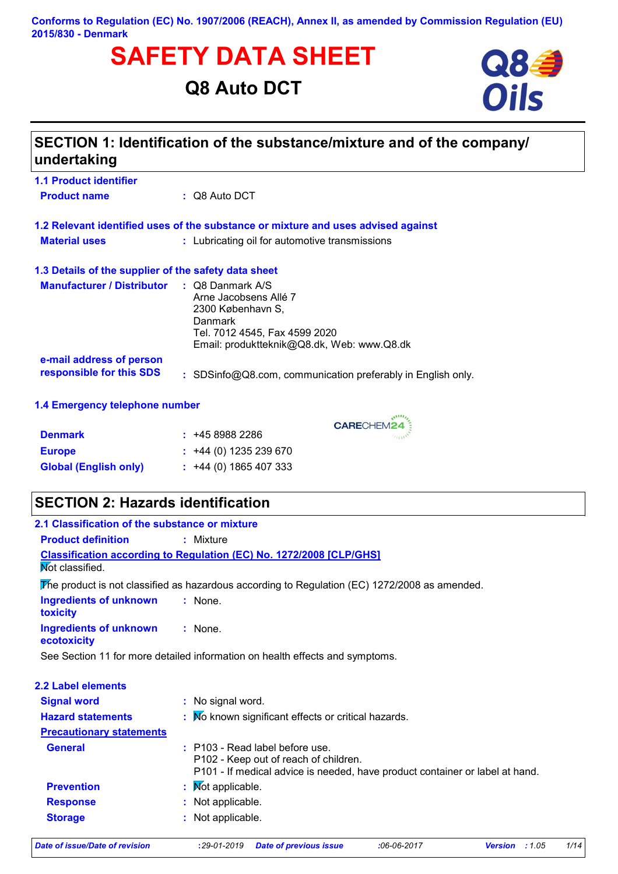# **SAFETY DATA SHEET**<br>
Q8 Auto DCT<br>
Oils

# **Q8 Auto DCT**



| SECTION 1: Identification of the substance/mixture and of the company/<br>undertaking |                                                                                                                                                                            |  |
|---------------------------------------------------------------------------------------|----------------------------------------------------------------------------------------------------------------------------------------------------------------------------|--|
| <b>1.1 Product identifier</b>                                                         |                                                                                                                                                                            |  |
| <b>Product name</b>                                                                   | $\therefore$ Q8 Auto DCT                                                                                                                                                   |  |
|                                                                                       | 1.2 Relevant identified uses of the substance or mixture and uses advised against                                                                                          |  |
| <b>Material uses</b>                                                                  | : Lubricating oil for automotive transmissions                                                                                                                             |  |
| 1.3 Details of the supplier of the safety data sheet                                  |                                                                                                                                                                            |  |
| <b>Manufacturer / Distributor</b>                                                     | $\therefore$ Q8 Danmark A/S<br>Arne Jacobsens Allé 7<br>2300 København S,<br><b>Danmark</b><br>Tel. 7012 4545, Fax 4599 2020<br>Email: produktteknik@Q8.dk, Web: www.Q8.dk |  |
| e-mail address of person<br>responsible for this SDS                                  | : SDSinfo@Q8.com, communication preferably in English only.                                                                                                                |  |

CARECHEM24

#### **1.4 Emergency telephone number**

| <b>Denmark</b>               | : 4589882286                |
|------------------------------|-----------------------------|
| <b>Europe</b>                | $\div$ +44 (0) 1235 239 670 |
| <b>Global (English only)</b> | $\div$ +44 (0) 1865 407 333 |

## **SECTION 2: Hazards identification**

| <b>Product definition</b>                                   | : Mixture                                                                                                                                                  |
|-------------------------------------------------------------|------------------------------------------------------------------------------------------------------------------------------------------------------------|
| Not classified.                                             | Classification according to Regulation (EC) No. 1272/2008 [CLP/GHS]                                                                                        |
|                                                             | The product is not classified as hazardous according to Regulation (EC) 1272/2008 as amended.                                                              |
| <b>Ingredients of unknown</b><br>toxicity                   | : None.                                                                                                                                                    |
| <b>Ingredients of unknown</b><br>ecotoxicity                | : None.                                                                                                                                                    |
|                                                             | See Section 11 for more detailed information on health effects and symptoms.                                                                               |
|                                                             |                                                                                                                                                            |
| <b>2.2 Label elements</b>                                   |                                                                                                                                                            |
| <b>Signal word</b>                                          | : No signal word.                                                                                                                                          |
|                                                             | : Mo known significant effects or critical hazards.                                                                                                        |
| <b>Hazard statements</b><br><b>Precautionary statements</b> |                                                                                                                                                            |
| <b>General</b>                                              | $:$ P103 - Read label before use.<br>P102 - Keep out of reach of children.<br>P101 - If medical advice is needed, have product container or label at hand. |
| <b>Prevention</b>                                           | : Mot applicable.                                                                                                                                          |
| <b>Response</b>                                             | : Not applicable.                                                                                                                                          |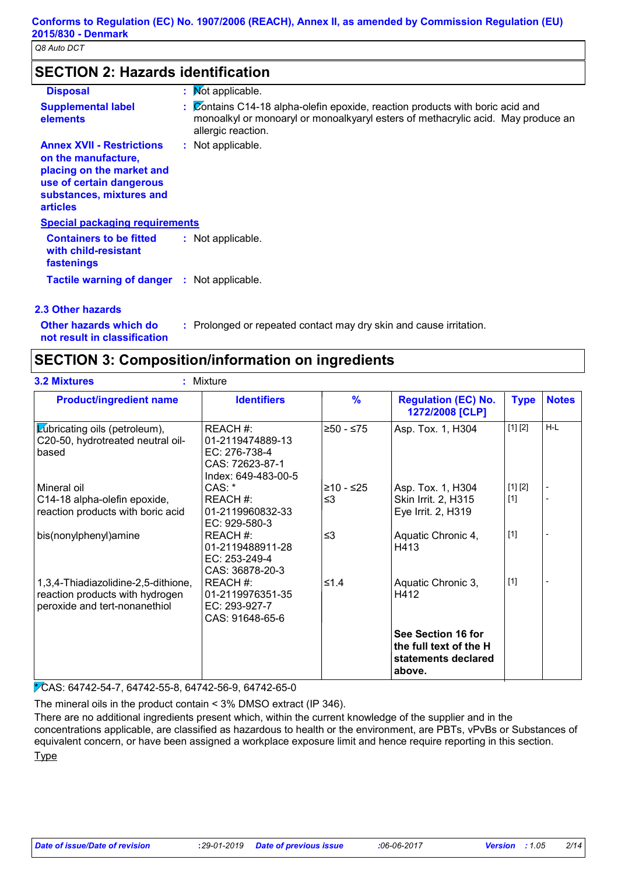## **SECTION 2: Hazards identification**

| <b>Disposal</b>                                                                                                                                                 | : Mot applicable.                                                                                                                                                                       |
|-----------------------------------------------------------------------------------------------------------------------------------------------------------------|-----------------------------------------------------------------------------------------------------------------------------------------------------------------------------------------|
| <b>Supplemental label</b><br>elements                                                                                                                           | : Contains C14-18 alpha-olefin epoxide, reaction products with boric acid and<br>monoalkyl or monoaryl or monoalkyaryl esters of methacrylic acid. May produce an<br>allergic reaction. |
| <b>Annex XVII - Restrictions</b><br>on the manufacture,<br>placing on the market and<br>use of certain dangerous<br>substances, mixtures and<br><b>articles</b> | : Not applicable.                                                                                                                                                                       |
| <b>Special packaging requirements</b>                                                                                                                           |                                                                                                                                                                                         |
| <b>Containers to be fitted</b><br>with child-resistant<br>fastenings                                                                                            | : Not applicable.                                                                                                                                                                       |
| <b>Tactile warning of danger : Not applicable.</b>                                                                                                              |                                                                                                                                                                                         |
| 2.3 Other hazards                                                                                                                                               |                                                                                                                                                                                         |

# **Other hazards which do :**

: Prolonged or repeated contact may dry skin and cause irritation.

**not result in classification**

# **SECTION 3: Composition/information on ingredients**

| <b>Product/ingredient name</b>                                                                          | <b>Identifiers</b>                                                                      | $\frac{9}{6}$ | <b>Regulation (EC) No.</b><br>1272/2008 [CLP]                                 | <b>Type</b> | <b>Notes</b> |
|---------------------------------------------------------------------------------------------------------|-----------------------------------------------------------------------------------------|---------------|-------------------------------------------------------------------------------|-------------|--------------|
| <b>Zubricating oils (petroleum),</b><br>C20-50, hydrotreated neutral oil-<br>based                      | REACH #:<br>01-2119474889-13<br>EC: 276-738-4<br>CAS: 72623-87-1<br>Index: 649-483-00-5 | ≥50 - ≤75     | Asp. Tox. 1, H304                                                             | [1] [2]     | $H-L$        |
| Mineral oil                                                                                             | CAS: *                                                                                  | ≥10 - ≤25     | Asp. Tox. 1, H304                                                             | [1] [2]     |              |
| C14-18 alpha-olefin epoxide,<br>reaction products with boric acid                                       | REACH #:<br>01-2119960832-33<br>EC: 929-580-3                                           | $\leq$ 3      | Skin Irrit. 2, H315<br>Eye Irrit. 2, H319                                     | $[1]$       |              |
| bis(nonylphenyl)amine                                                                                   | REACH #:<br>01-2119488911-28<br>EC: 253-249-4<br>CAS: 36878-20-3                        | $\leq$ 3      | Aquatic Chronic 4,<br>H413                                                    | $[1]$       |              |
| 1,3,4-Thiadiazolidine-2,5-dithione,<br>reaction products with hydrogen<br>peroxide and tert-nonanethiol | REACH #:<br>01-2119976351-35<br>EC: 293-927-7<br>CAS: 91648-65-6                        | ≤1.4          | Aquatic Chronic 3,<br>H412                                                    | $[1]$       |              |
|                                                                                                         |                                                                                         |               | See Section 16 for<br>the full text of the H<br>statements declared<br>above. |             |              |

\* CAS: 64742-54-7, 64742-55-8, 64742-56-9, 64742-65-0

The mineral oils in the product contain < 3% DMSO extract (IP 346).

There are no additional ingredients present which, within the current knowledge of the supplier and in the concentrations applicable, are classified as hazardous to health or the environment, are PBTs, vPvBs or Substances of equivalent concern, or have been assigned a workplace exposure limit and hence require reporting in this section. **Type**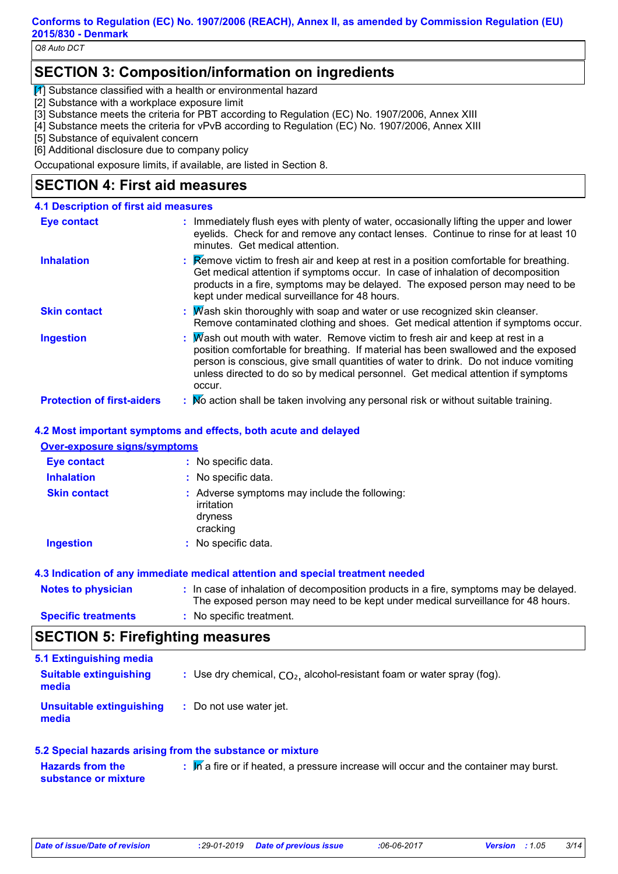*Q8 Auto DCT*

## **SECTION 3: Composition/information on ingredients**

 $\bar{1}$  Substance classified with a health or environmental hazard

[2] Substance with a workplace exposure limit

[3] Substance meets the criteria for PBT according to Regulation (EC) No. 1907/2006, Annex XIII

[4] Substance meets the criteria for vPvB according to Regulation (EC) No. 1907/2006, Annex XIII

[5] Substance of equivalent concern

[6] Additional disclosure due to company policy

Occupational exposure limits, if available, are listed in Section 8.

## **SECTION 4: First aid measures**

## **4.1 Description of first aid measures**

| <b>Eye contact</b>                | : Immediately flush eyes with plenty of water, occasionally lifting the upper and lower<br>eyelids. Check for and remove any contact lenses. Continue to rinse for at least 10<br>minutes. Get medical attention.                                                                                                                                       |
|-----------------------------------|---------------------------------------------------------------------------------------------------------------------------------------------------------------------------------------------------------------------------------------------------------------------------------------------------------------------------------------------------------|
| <b>Inhalation</b>                 | Remove victim to fresh air and keep at rest in a position comfortable for breathing.<br>Get medical attention if symptoms occur. In case of inhalation of decomposition<br>products in a fire, symptoms may be delayed. The exposed person may need to be<br>kept under medical surveillance for 48 hours.                                              |
| <b>Skin contact</b>               | $M$ ash skin thoroughly with soap and water or use recognized skin cleanser.<br>Remove contaminated clothing and shoes. Get medical attention if symptoms occur.                                                                                                                                                                                        |
| <b>Ingestion</b>                  | Mash out mouth with water. Remove victim to fresh air and keep at rest in a<br>position comfortable for breathing. If material has been swallowed and the exposed<br>person is conscious, give small quantities of water to drink. Do not induce vomiting<br>unless directed to do so by medical personnel. Get medical attention if symptoms<br>occur. |
| <b>Protection of first-aiders</b> | : No action shall be taken involving any personal risk or without suitable training.                                                                                                                                                                                                                                                                    |

#### **4.2 Most important symptoms and effects, both acute and delayed**

#### **Over-exposure signs/symptoms**

| <b>Eye contact</b>  | : No specific data.                                                                |
|---------------------|------------------------------------------------------------------------------------|
| <b>Inhalation</b>   | : No specific data.                                                                |
| <b>Skin contact</b> | : Adverse symptoms may include the following:<br>irritation<br>dryness<br>cracking |
| <b>Ingestion</b>    | : No specific data.                                                                |

#### **4.3 Indication of any immediate medical attention and special treatment needed**

| <b>Notes to physician</b>  | : In case of inhalation of decomposition products in a fire, symptoms may be delayed.<br>The exposed person may need to be kept under medical surveillance for 48 hours. |
|----------------------------|--------------------------------------------------------------------------------------------------------------------------------------------------------------------------|
| <b>Specific treatments</b> | : No specific treatment.                                                                                                                                                 |

## **SECTION 5: Firefighting measures**

| 5.1 Extinguishing media                |                                                                          |
|----------------------------------------|--------------------------------------------------------------------------|
| <b>Suitable extinguishing</b><br>media | : Use dry chemical, $CO2$ , alcohol-resistant foam or water spray (fog). |
| Unsuitable extinguishing<br>media      | : Do not use water jet.                                                  |

#### **5.2 Special hazards arising from the substance or mixture**

**Hazards from the substance or mixture** In a fire or if heated, a pressure increase will occur and the container may burst.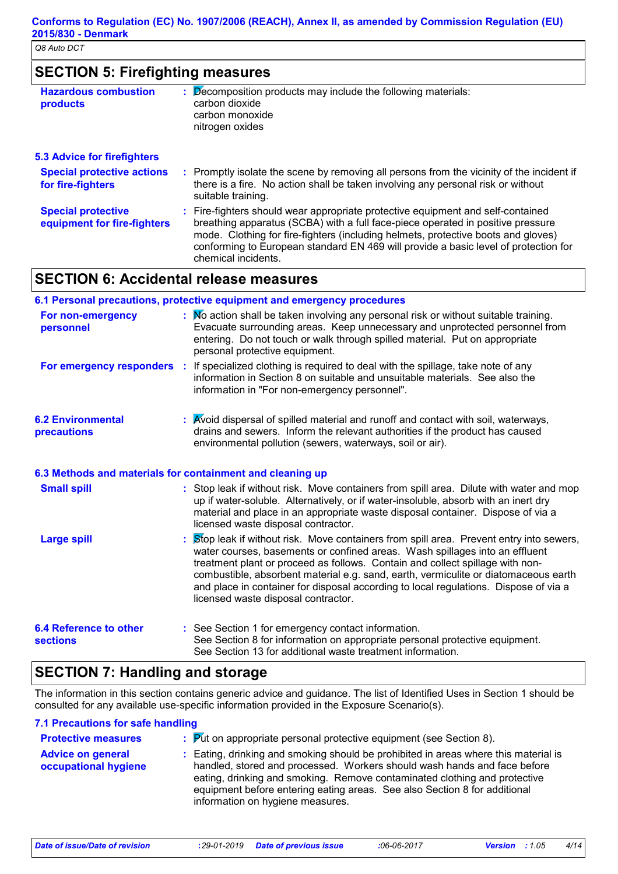| <b>SECTION 5: Firefighting measures</b>                |                                                                                                                                                                             |
|--------------------------------------------------------|-----------------------------------------------------------------------------------------------------------------------------------------------------------------------------|
| <b>Hazardous combustion</b><br>products                | Decomposition products may include the following materials:<br>carbon dioxide<br>carbon monoxide<br>nitrogen oxides                                                         |
| <b>5.3 Advice for firefighters</b>                     |                                                                                                                                                                             |
| <b>Special protective actions</b><br>for fire-fighters | Promptly isolate the scene by removing all persons from the vicinity of the incident if<br>there is a fire. No action shall be taken involving any personal risk or without |

|                                                          | suitable training.                                                                                                                                                                                                                                                                                                                                                    |
|----------------------------------------------------------|-----------------------------------------------------------------------------------------------------------------------------------------------------------------------------------------------------------------------------------------------------------------------------------------------------------------------------------------------------------------------|
| <b>Special protective</b><br>equipment for fire-fighters | : Fire-fighters should wear appropriate protective equipment and self-contained<br>breathing apparatus (SCBA) with a full face-piece operated in positive pressure<br>mode. Clothing for fire-fighters (including helmets, protective boots and gloves)<br>conforming to European standard EN 469 will provide a basic level of protection for<br>chemical incidents. |

## **SECTION 6: Accidental release measures**

|                                                  | 6.1 Personal precautions, protective equipment and emergency procedures                                                                                                                                                                                                                                                                                                                                                                                                      |
|--------------------------------------------------|------------------------------------------------------------------------------------------------------------------------------------------------------------------------------------------------------------------------------------------------------------------------------------------------------------------------------------------------------------------------------------------------------------------------------------------------------------------------------|
| For non-emergency<br>personnel                   | : No action shall be taken involving any personal risk or without suitable training.<br>Evacuate surrounding areas. Keep unnecessary and unprotected personnel from<br>entering. Do not touch or walk through spilled material. Put on appropriate<br>personal protective equipment.                                                                                                                                                                                         |
|                                                  | For emergency responders : If specialized clothing is required to deal with the spillage, take note of any<br>information in Section 8 on suitable and unsuitable materials. See also the<br>information in "For non-emergency personnel".                                                                                                                                                                                                                                   |
| <b>6.2 Environmental</b><br>precautions          | : Avoid dispersal of spilled material and runoff and contact with soil, waterways,<br>drains and sewers. Inform the relevant authorities if the product has caused<br>environmental pollution (sewers, waterways, soil or air).                                                                                                                                                                                                                                              |
|                                                  | 6.3 Methods and materials for containment and cleaning up                                                                                                                                                                                                                                                                                                                                                                                                                    |
| <b>Small spill</b>                               | : Stop leak if without risk. Move containers from spill area. Dilute with water and mop<br>up if water-soluble. Alternatively, or if water-insoluble, absorb with an inert dry<br>material and place in an appropriate waste disposal container. Dispose of via a<br>licensed waste disposal contractor.                                                                                                                                                                     |
| <b>Large spill</b>                               | Stop leak if without risk. Move containers from spill area. Prevent entry into sewers,<br>water courses, basements or confined areas. Wash spillages into an effluent<br>treatment plant or proceed as follows. Contain and collect spillage with non-<br>combustible, absorbent material e.g. sand, earth, vermiculite or diatomaceous earth<br>and place in container for disposal according to local regulations. Dispose of via a<br>licensed waste disposal contractor. |
| <b>6.4 Reference to other</b><br><b>sections</b> | : See Section 1 for emergency contact information.<br>See Section 8 for information on appropriate personal protective equipment.<br>See Section 13 for additional waste treatment information.                                                                                                                                                                                                                                                                              |

## **SECTION 7: Handling and storage**

The information in this section contains generic advice and guidance. The list of Identified Uses in Section 1 should be consulted for any available use-specific information provided in the Exposure Scenario(s).

#### **7.1 Precautions for safe handling**

| <b>Protective measures</b>                       | $\therefore$ Put on appropriate personal protective equipment (see Section 8).                                                                                                                                                                                                                                                                                |
|--------------------------------------------------|---------------------------------------------------------------------------------------------------------------------------------------------------------------------------------------------------------------------------------------------------------------------------------------------------------------------------------------------------------------|
| <b>Advice on general</b><br>occupational hygiene | : Eating, drinking and smoking should be prohibited in areas where this material is<br>handled, stored and processed. Workers should wash hands and face before<br>eating, drinking and smoking. Remove contaminated clothing and protective<br>equipment before entering eating areas. See also Section 8 for additional<br>information on hygiene measures. |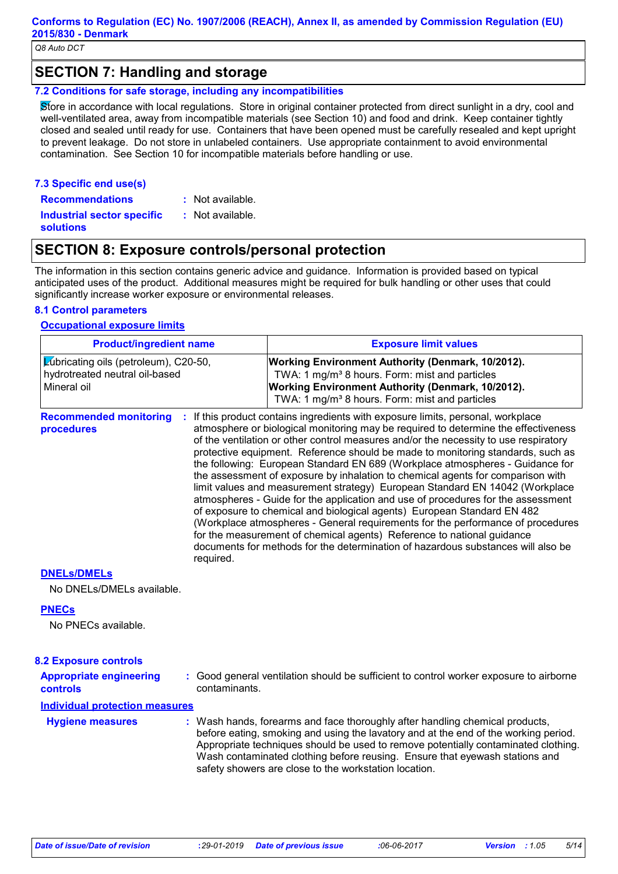## **SECTION 7: Handling and storage**

#### **7.2 Conditions for safe storage, including any incompatibilities**

Store in accordance with local regulations. Store in original container protected from direct sunlight in a dry, cool and well-ventilated area, away from incompatible materials (see Section 10) and food and drink. Keep container tightly closed and sealed until ready for use. Containers that have been opened must be carefully resealed and kept upright to prevent leakage. Do not store in unlabeled containers. Use appropriate containment to avoid environmental contamination. See Section 10 for incompatible materials before handling or use.

#### **7.3 Specific end use(s) Recommendations :**

- : Not available.
- **Industrial sector specific : solutions**
- : Not available.

## **SECTION 8: Exposure controls/personal protection**

The information in this section contains generic advice and guidance. Information is provided based on typical anticipated uses of the product. Additional measures might be required for bulk handling or other uses that could significantly increase worker exposure or environmental releases.

#### **8.1 Control parameters**

#### **Occupational exposure limits**

| <b>Product/ingredient name</b>                                                                |           | <b>Exposure limit values</b>                                                                                                                                                                                                                                                                                                                                                                                                                                                                                                                                                                                                                                                                                                                                                                                                                                                                                                                                                                                        |  |  |
|-----------------------------------------------------------------------------------------------|-----------|---------------------------------------------------------------------------------------------------------------------------------------------------------------------------------------------------------------------------------------------------------------------------------------------------------------------------------------------------------------------------------------------------------------------------------------------------------------------------------------------------------------------------------------------------------------------------------------------------------------------------------------------------------------------------------------------------------------------------------------------------------------------------------------------------------------------------------------------------------------------------------------------------------------------------------------------------------------------------------------------------------------------|--|--|
| <b>Zubricating oils (petroleum), C20-50,</b><br>hydrotreated neutral oil-based<br>Mineral oil |           | Working Environment Authority (Denmark, 10/2012).<br>TWA: 1 mg/m <sup>3</sup> 8 hours. Form: mist and particles<br>Working Environment Authority (Denmark, 10/2012).<br>TWA: 1 mg/m <sup>3</sup> 8 hours. Form: mist and particles                                                                                                                                                                                                                                                                                                                                                                                                                                                                                                                                                                                                                                                                                                                                                                                  |  |  |
| <b>Recommended monitoring</b><br>procedures                                                   | required. | If this product contains ingredients with exposure limits, personal, workplace<br>atmosphere or biological monitoring may be required to determine the effectiveness<br>of the ventilation or other control measures and/or the necessity to use respiratory<br>protective equipment. Reference should be made to monitoring standards, such as<br>the following: European Standard EN 689 (Workplace atmospheres - Guidance for<br>the assessment of exposure by inhalation to chemical agents for comparison with<br>limit values and measurement strategy) European Standard EN 14042 (Workplace<br>atmospheres - Guide for the application and use of procedures for the assessment<br>of exposure to chemical and biological agents) European Standard EN 482<br>(Workplace atmospheres - General requirements for the performance of procedures<br>for the measurement of chemical agents) Reference to national guidance<br>documents for methods for the determination of hazardous substances will also be |  |  |
| RNIEL - 1RNIE                                                                                 |           |                                                                                                                                                                                                                                                                                                                                                                                                                                                                                                                                                                                                                                                                                                                                                                                                                                                                                                                                                                                                                     |  |  |

#### **DNELs/DMELs**

No DNELs/DMELs available.

#### **PNECs**

No PNECs available.

| <b>8.2 Exposure controls</b>               |                                                                                                         |
|--------------------------------------------|---------------------------------------------------------------------------------------------------------|
| <b>Appropriate engineering</b><br>controls | : Good general ventilation should be sufficient to control worker exposure to airborne<br>contaminants. |
| Individual protection measures             |                                                                                                         |

: Wash hands, forearms and face thoroughly after handling chemical products, before eating, smoking and using the lavatory and at the end of the working period. Appropriate techniques should be used to remove potentially contaminated clothing. Wash contaminated clothing before reusing. Ensure that eyewash stations and safety showers are close to the workstation location. **Hygiene measures :**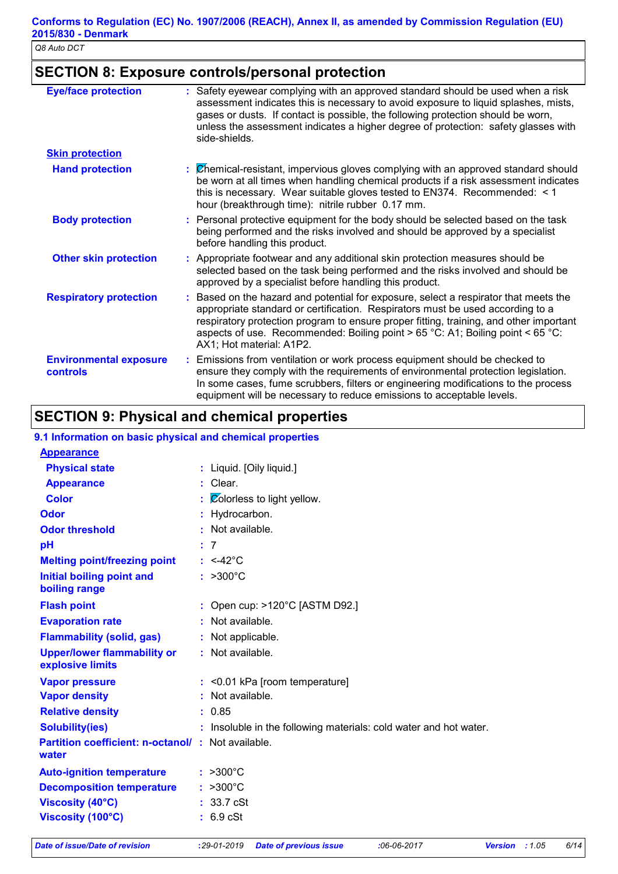## **SECTION 8: Exposure controls/personal protection**

| <b>Eye/face protection</b>                       | Safety eyewear complying with an approved standard should be used when a risk<br>assessment indicates this is necessary to avoid exposure to liquid splashes, mists,<br>gases or dusts. If contact is possible, the following protection should be worn,<br>unless the assessment indicates a higher degree of protection: safety glasses with<br>side-shields.              |
|--------------------------------------------------|------------------------------------------------------------------------------------------------------------------------------------------------------------------------------------------------------------------------------------------------------------------------------------------------------------------------------------------------------------------------------|
| <b>Skin protection</b>                           |                                                                                                                                                                                                                                                                                                                                                                              |
| <b>Hand protection</b>                           | Chemical-resistant, impervious gloves complying with an approved standard should<br>be worn at all times when handling chemical products if a risk assessment indicates<br>this is necessary. Wear suitable gloves tested to EN374. Recommended: < 1<br>hour (breakthrough time): nitrile rubber 0.17 mm.                                                                    |
| <b>Body protection</b>                           | Personal protective equipment for the body should be selected based on the task<br>being performed and the risks involved and should be approved by a specialist<br>before handling this product.                                                                                                                                                                            |
| <b>Other skin protection</b>                     | : Appropriate footwear and any additional skin protection measures should be<br>selected based on the task being performed and the risks involved and should be<br>approved by a specialist before handling this product.                                                                                                                                                    |
| <b>Respiratory protection</b>                    | Based on the hazard and potential for exposure, select a respirator that meets the<br>appropriate standard or certification. Respirators must be used according to a<br>respiratory protection program to ensure proper fitting, training, and other important<br>aspects of use. Recommended: Boiling point > 65 °C: A1; Boiling point < 65 °C:<br>AX1; Hot material: A1P2. |
| <b>Environmental exposure</b><br><b>controls</b> | Emissions from ventilation or work process equipment should be checked to<br>ensure they comply with the requirements of environmental protection legislation.<br>In some cases, fume scrubbers, filters or engineering modifications to the process<br>equipment will be necessary to reduce emissions to acceptable levels.                                                |

# **SECTION 9: Physical and chemical properties**

| 9.1 Information on basic physical and chemical properties |  |
|-----------------------------------------------------------|--|
| <b>A</b>                                                  |  |

| <b>Appearance</b>                                                 |                                                                   |
|-------------------------------------------------------------------|-------------------------------------------------------------------|
| <b>Physical state</b>                                             | : Liquid. [Oily liquid.]                                          |
| <b>Appearance</b>                                                 | : Clear.                                                          |
| <b>Color</b>                                                      | $\mathcal{L}$ $\mathcal{O}$ colorless to light yellow.            |
| Odor                                                              | : Hydrocarbon.                                                    |
| <b>Odor threshold</b>                                             | : Not available.                                                  |
| pH                                                                | : 7                                                               |
| <b>Melting point/freezing point</b>                               | $: <42^{\circ}$ C                                                 |
| <b>Initial boiling point and</b><br>boiling range                 | $: >300^{\circ}$ C                                                |
| <b>Flash point</b>                                                | : Open cup: $>120^{\circ}$ C [ASTM D92.]                          |
| <b>Evaporation rate</b>                                           | : Not available.                                                  |
| <b>Flammability (solid, gas)</b>                                  | : Not applicable.                                                 |
| <b>Upper/lower flammability or</b><br>explosive limits            | : Not available.                                                  |
| <b>Vapor pressure</b>                                             | $:$ <0.01 kPa [room temperature]                                  |
| <b>Vapor density</b>                                              | : Not available.                                                  |
| <b>Relative density</b>                                           | : 0.85                                                            |
| <b>Solubility(ies)</b>                                            | : Insoluble in the following materials: cold water and hot water. |
| <b>Partition coefficient: n-octanol/: Not available.</b><br>water |                                                                   |
| <b>Auto-ignition temperature</b>                                  | $: >300^{\circ}C$                                                 |
| <b>Decomposition temperature</b>                                  | $: >300^{\circ}C$                                                 |
| <b>Viscosity (40°C)</b>                                           | : 33.7 cSt                                                        |
| Viscosity (100°C)                                                 | $: 6.9$ cSt                                                       |
|                                                                   |                                                                   |

*Date of issue/Date of revision* **:***29-01-2019 Date of previous issue :06-06-2017 Version : 1.05 6/14*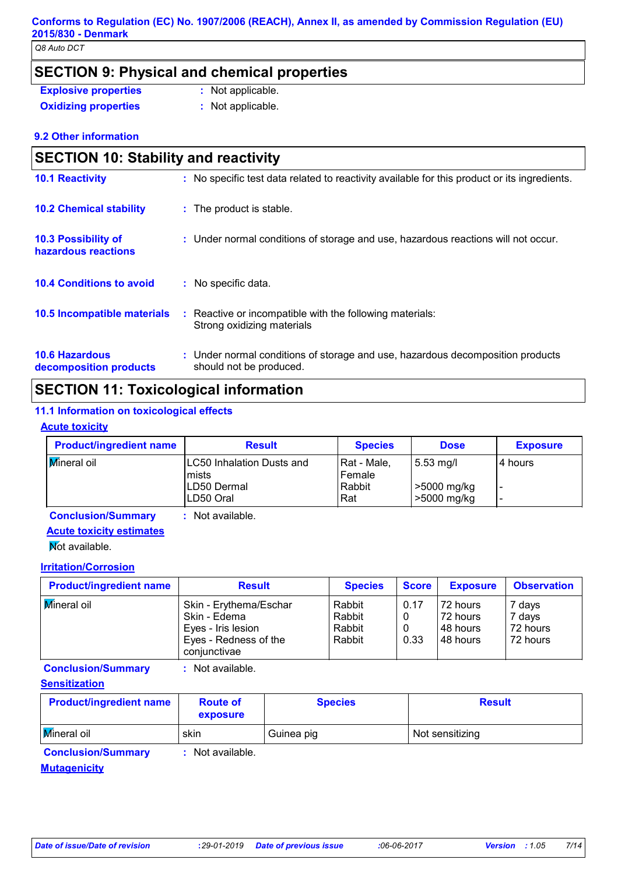*Q8 Auto DCT*

## **SECTION 9: Physical and chemical properties**

| <b>Explosive properties</b> | : Not applicable. |
|-----------------------------|-------------------|
| <b>Oxidizing properties</b> | : Not applicable. |

**:** Not applicable.

**9.2 Other information**

| <b>SECTION 10: Stability and reactivity</b>       |                                                                                                           |  |  |  |
|---------------------------------------------------|-----------------------------------------------------------------------------------------------------------|--|--|--|
| <b>10.1 Reactivity</b>                            | : No specific test data related to reactivity available for this product or its ingredients.              |  |  |  |
| <b>10.2 Chemical stability</b>                    | : The product is stable.                                                                                  |  |  |  |
| <b>10.3 Possibility of</b><br>hazardous reactions | : Under normal conditions of storage and use, hazardous reactions will not occur.                         |  |  |  |
| <b>10.4 Conditions to avoid</b>                   | : No specific data.                                                                                       |  |  |  |
| 10.5 Incompatible materials                       | Reactive or incompatible with the following materials:<br>Strong oxidizing materials                      |  |  |  |
| <b>10.6 Hazardous</b><br>decomposition products   | : Under normal conditions of storage and use, hazardous decomposition products<br>should not be produced. |  |  |  |

## **SECTION 11: Toxicological information**

#### **11.1 Information on toxicological effects**

#### **Acute toxicity**

| <b>Product/ingredient name</b> | <b>Result</b>                                                          | <b>Species</b>                           | <b>Dose</b>                               | <b>Exposure</b>                       |
|--------------------------------|------------------------------------------------------------------------|------------------------------------------|-------------------------------------------|---------------------------------------|
| <b>Mineral oil</b>             | LC50 Inhalation Dusts and<br><b>Imists</b><br>LD50 Dermal<br>LD50 Oral | l Rat - Male.<br>Female<br>Rabbit<br>Rat | $5.53$ mg/l<br>>5000 mg/kg<br>>5000 mg/kg | l 4 hours<br>$\overline{\phantom{0}}$ |

**Conclusion/Summary :** Not available.

## **Acute toxicity estimates**

**Not available.** 

#### **Irritation/Corrosion**

| <b>Product/ingredient name</b> | <b>Result</b>                                                                                         | <b>Species</b>                       | <b>Score</b> | <b>Exposure</b>                                | <b>Observation</b>                       |
|--------------------------------|-------------------------------------------------------------------------------------------------------|--------------------------------------|--------------|------------------------------------------------|------------------------------------------|
| Mineral oil                    | Skin - Erythema/Eschar<br>Skin - Edema<br>Eyes - Iris lesion<br>Eyes - Redness of the<br>coniunctivae | Rabbit<br>Rabbit<br>Rabbit<br>Rabbit | 0.17<br>0.33 | 72 hours<br>72 hours<br>148 hours<br>148 hours | 7 days<br>7 days<br>72 hours<br>72 hours |

**Conclusion/Summary :** Not available.

#### **Sensitization**

| <b>Product/ingredient name</b> | <b>Route of</b><br>exposure | <b>Species</b> | <b>Result</b>   |
|--------------------------------|-----------------------------|----------------|-----------------|
| <b>Mineral oil</b>             | skin                        | Guinea pig     | Not sensitizing |

**Conclusion/Summary :** Not available.

**Mutagenicity**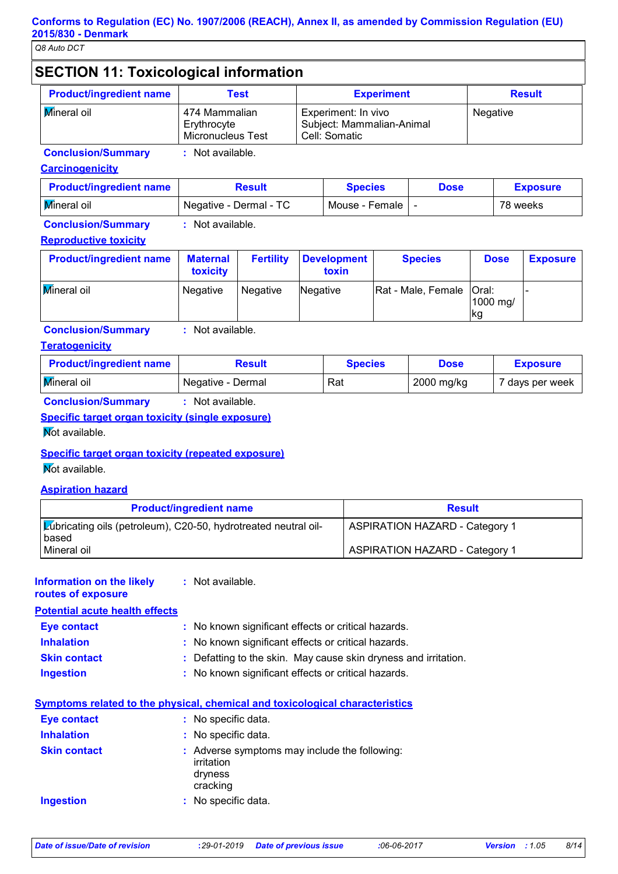#### **SECTION 11: Toxicological information Carcinogenicity Product/ingredient name Test Experiment Result Conclusion/Summary :** Not available. Mineral oil **474 Mammalian Erythrocyte** Micronucleus Test Experiment: In vivo Subject: Mammalian-Animal Cell: Somatic Negative

| <b>Product/ingredient name</b> | <b>Result</b>            | <b>Species</b> | <b>Dose</b> | <b>Exposure</b> |
|--------------------------------|--------------------------|----------------|-------------|-----------------|
| Mineral oil                    | I Negative - Dermal - TC | Mouse - Female |             | 78 weeks        |

**Conclusion/Summary :** Not available.

#### **Reproductive toxicity**

| <b>Product/ingredient name</b> | <b>Maternal</b><br>toxicity | <b>Fertility</b> | <b>Development</b><br>toxin | <b>Species</b>             | <b>Dose</b>           | <b>Exposure</b> |
|--------------------------------|-----------------------------|------------------|-----------------------------|----------------------------|-----------------------|-----------------|
| <b>Mineral oil</b>             | Negative                    | Negative         | Negative                    | Rat - Male, Female   Oral: | 1000 mg/<br><b>kg</b> |                 |

**Conclusion/Summary :** Not available.

#### **Teratogenicity**

| <b>Product/ingredient name</b> | Result            | <b>Species</b> | Dose       | <b>Exposure</b> |
|--------------------------------|-------------------|----------------|------------|-----------------|
| <b>Mineral oil</b>             | Negative - Dermal | Rat            | 2000 mg/kg | 7 days per week |

**Conclusion/Summary :** Not available.

### **Specific target organ toxicity (single exposure)**

Not available.

#### **Specific target organ toxicity (repeated exposure)**

**Not available.** 

#### **Aspiration hazard**

| <b>Product/ingredient name</b>                                           | <b>Result</b>                         |
|--------------------------------------------------------------------------|---------------------------------------|
| Lubricating oils (petroleum), C20-50, hydrotreated neutral oil-<br>based | <b>ASPIRATION HAZARD - Category 1</b> |
| Mineral oil                                                              | <b>ASPIRATION HAZARD - Category 1</b> |

#### **:** Not available. **Information on the likely**

**routes of exposure**

| <b>Potential acute health effects</b> |                                                                 |
|---------------------------------------|-----------------------------------------------------------------|
| <b>Eye contact</b>                    | : No known significant effects or critical hazards.             |
| <b>Inhalation</b>                     | : No known significant effects or critical hazards.             |
| <b>Skin contact</b>                   | : Defatting to the skin. May cause skin dryness and irritation. |
| <b>Ingestion</b>                      | : No known significant effects or critical hazards.             |

#### **Symptoms related to the physical, chemical and toxicological characteristics**

| <b>Eye contact</b>  | : No specific data.                                                                |
|---------------------|------------------------------------------------------------------------------------|
| <b>Inhalation</b>   | : No specific data.                                                                |
| <b>Skin contact</b> | : Adverse symptoms may include the following:<br>irritation<br>dryness<br>cracking |
| Ingestion           | : No specific data.                                                                |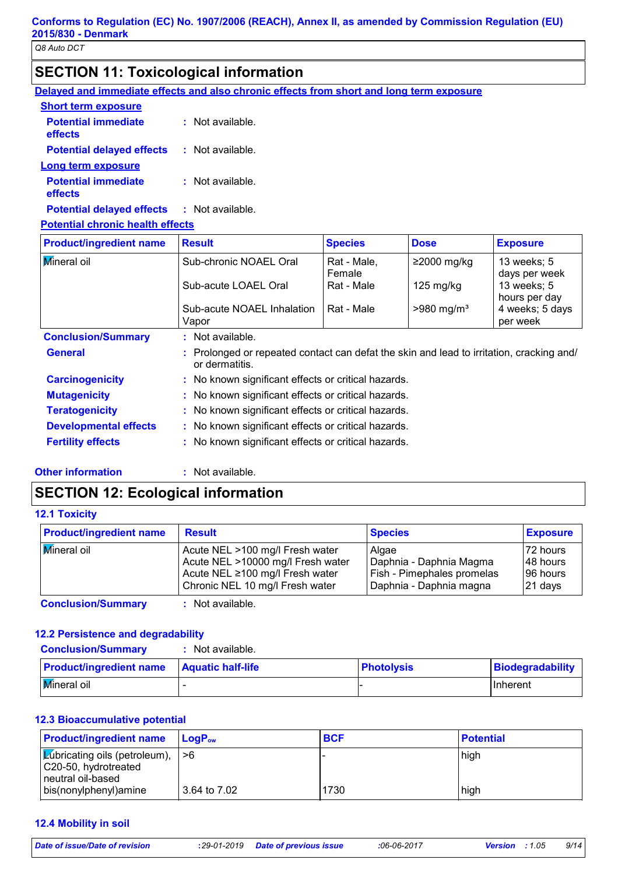## **SECTION 11: Toxicological information**

**Delayed and immediate effects and also chronic effects from short and long term exposure**

| <b>Short term exposure</b>              |                      |
|-----------------------------------------|----------------------|
| <b>Potential immediate</b><br>effects   | Not available.<br>÷. |
| <b>Potential delayed effects</b>        | $:$ Not available.   |
| Long term exposure                      |                      |
| <b>Potential immediate</b><br>effects   | Not available.<br>t. |
| <b>Potential delayed effects</b>        | : Not available.     |
| <b>Potential chronic health effects</b> |                      |

| <b>Product/ingredient name</b> | <b>Result</b>                                                                                            | <b>Species</b>        | <b>Dose</b>              | <b>Exposure</b>              |
|--------------------------------|----------------------------------------------------------------------------------------------------------|-----------------------|--------------------------|------------------------------|
| <b>Mineral oil</b>             | Sub-chronic NOAEL Oral                                                                                   | Rat - Male,<br>Female | $≥2000$ mg/kg            | 13 weeks; 5<br>days per week |
|                                | Sub-acute LOAEL Oral                                                                                     | Rat - Male            | $125 \text{ mg/kg}$      | 13 weeks; 5<br>hours per day |
|                                | Sub-acute NOAEL Inhalation<br>Vapor                                                                      | Rat - Male            | $>980$ mg/m <sup>3</sup> | 4 weeks; 5 days<br>per week  |
| <b>Conclusion/Summary</b>      | $:$ Not available.                                                                                       |                       |                          |                              |
| <b>General</b>                 | Prolonged or repeated contact can defat the skin and lead to irritation, cracking and/<br>or dermatitis. |                       |                          |                              |
| <b>Carcinogenicity</b>         | : No known significant effects or critical hazards.                                                      |                       |                          |                              |
| <b>Mutagenicity</b>            | : No known significant effects or critical hazards.                                                      |                       |                          |                              |
| <b>Teratogenicity</b>          | : No known significant effects or critical hazards.                                                      |                       |                          |                              |
| <b>Developmental effects</b>   | : No known significant effects or critical hazards.                                                      |                       |                          |                              |
| <b>Fertility effects</b>       | : No known significant effects or critical hazards.                                                      |                       |                          |                              |

**Other information :**

: Not available.

## **SECTION 12: Ecological information**

**12.1 Toxicity**

| <b>Product/ingredient name</b> | <b>Result</b>                                                                                           | <b>Species</b>                                                 | <b>Exposure</b>                    |
|--------------------------------|---------------------------------------------------------------------------------------------------------|----------------------------------------------------------------|------------------------------------|
| <b>Mineral oil</b>             | Acute NEL >100 mg/l Fresh water<br>Acute NEL >10000 mg/l Fresh water<br>Acute NEL ≥100 mg/l Fresh water | Algae<br>Daphnia - Daphnia Magma<br>Fish - Pimephales promelas | 72 hours<br>148 hours<br>196 hours |
|                                | Chronic NEL 10 mg/l Fresh water<br>.                                                                    | Daphnia - Daphnia magna                                        | 21 days                            |

**Conclusion/Summary :** Not available.

#### **12.2 Persistence and degradability**

| <b>Conclusion/Summary</b>      | : Not available.         |                   |                  |
|--------------------------------|--------------------------|-------------------|------------------|
| <b>Product/ingredient name</b> | <b>Aquatic half-life</b> | <b>Photolysis</b> | Biodegradability |
| <b>Mineral oil</b>             |                          |                   | <b>Inherent</b>  |

#### **12.3 Bioaccumulative potential**

| <b>Product/ingredient name</b>                                                    | <b>LogP</b> <sub>ow</sub> | <b>BCF</b> | <b>Potential</b> |
|-----------------------------------------------------------------------------------|---------------------------|------------|------------------|
| <b>Exiding only (petroleum), <math>\vert</math> &gt;6</b><br>C20-50, hydrotreated |                           |            | high             |
| Ineutral oil-based<br>bis(nonylphenyl) amine                                      | 3.64 to 7.02              | 1730       | high             |

#### **12.4 Mobility in soil**

*Date of issue/Date of revision* **:***29-01-2019 Date of previous issue :06-06-2017 Version : 1.05 9/14*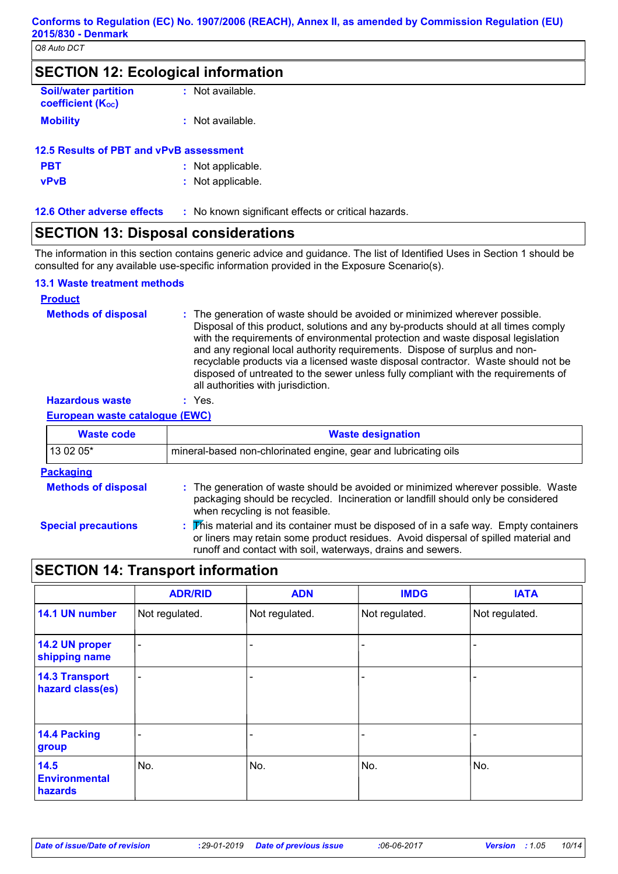| <b>SECTION 12: Ecological information</b>             |                  |  |
|-------------------------------------------------------|------------------|--|
| <b>Soil/water partition</b><br>coefficient $(K_{oc})$ | : Not available. |  |
| <b>Mobility</b>                                       | : Not available. |  |

|             | 12.5 Results of PBT and vPvB assessment |
|-------------|-----------------------------------------|
| <b>PBT</b>  | : Not applicable.                       |
| <b>vPvB</b> | : Not applicable.                       |

| . No known significant effects or critical hazards.<br><b>12.6 Other adverse effects</b> |
|------------------------------------------------------------------------------------------|
|------------------------------------------------------------------------------------------|

## **SECTION 13: Disposal considerations**

The information in this section contains generic advice and guidance. The list of Identified Uses in Section 1 should be consulted for any available use-specific information provided in the Exposure Scenario(s).

#### **13.1 Waste treatment methods**

#### **Hazardous waste :** Yes. **Methods of disposal : Product** The generation of waste should be avoided or minimized wherever possible. Disposal of this product, solutions and any by-products should at all times comply with the requirements of environmental protection and waste disposal legislation and any regional local authority requirements. Dispose of surplus and nonrecyclable products via a licensed waste disposal contractor. Waste should not be disposed of untreated to the sewer unless fully compliant with the requirements of all authorities with jurisdiction.

**European waste catalogue (EWC)**

| <b>Waste code</b>          | <b>Waste designation</b>                                                                                                                                                                                                                    |
|----------------------------|---------------------------------------------------------------------------------------------------------------------------------------------------------------------------------------------------------------------------------------------|
| 13 02 05*                  | mineral-based non-chlorinated engine, gear and lubricating oils                                                                                                                                                                             |
| <b>Packaging</b>           |                                                                                                                                                                                                                                             |
| <b>Methods of disposal</b> | : The generation of waste should be avoided or minimized wherever possible. Waste<br>packaging should be recycled. Incineration or landfill should only be considered<br>when recycling is not feasible.                                    |
| <b>Special precautions</b> | : This material and its container must be disposed of in a safe way. Empty containers<br>or liners may retain some product residues. Avoid dispersal of spilled material and<br>runoff and contact with soil, waterways, drains and sewers. |

|                                           | <b>ADR/RID</b> | <b>ADN</b>     | <b>IMDG</b>    | <b>IATA</b>    |
|-------------------------------------------|----------------|----------------|----------------|----------------|
| 14.1 UN number                            | Not regulated. | Not regulated. | Not regulated. | Not regulated. |
| 14.2 UN proper<br>shipping name           | ۰              |                |                |                |
| <b>14.3 Transport</b><br>hazard class(es) |                |                |                |                |
| 14.4 Packing<br>group                     |                |                |                |                |
| 14.5<br><b>Environmental</b><br>hazards   | No.            | No.            | No.            | No.            |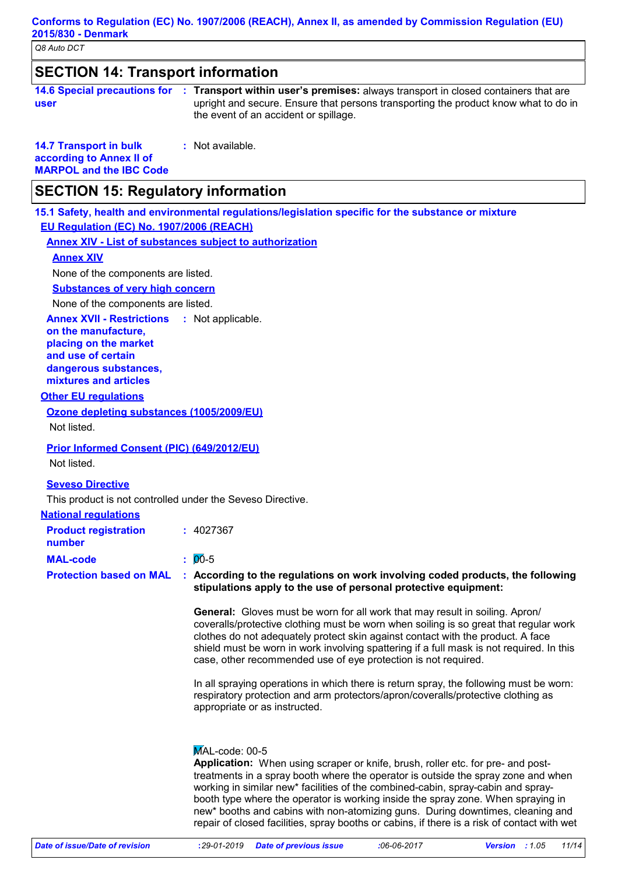## **SECTION 14: Transport information**

|      | 14.6 Special precautions for : Transport within user's premises: always transport in closed containers that are |
|------|-----------------------------------------------------------------------------------------------------------------|
| user | upright and secure. Ensure that persons transporting the product know what to do in                             |
|      | the event of an accident or spillage.                                                                           |

**14.7 Transport in bulk according to Annex II of :** Not available.

**MARPOL and the IBC Code**

## **SECTION 15: Regulatory information**

**15.1 Safety, health and environmental regulations/legislation specific for the substance or mixture EU Regulation (EC) No. 1907/2006 (REACH)**

**Annex XIV - List of substances subject to authorization**

#### **Annex XIV**

None of the components are listed.

**Substances of very high concern**

None of the components are listed.

**Annex XVII - Restrictions** : Not applicable.

**on the manufacture, placing on the market and use of certain dangerous substances, mixtures and articles**

#### **Other EU regulations**

**Ozone depleting substances (1005/2009/EU)** Not listed.

**Prior Informed Consent (PIC) (649/2012/EU)**

Not listed.

**Seveso Directive**

This product is not controlled under the Seveso Directive.

#### **National regulations MAL-code :** 00-5 **Product registration number :** 4027367

#### **Protection based on MAL : According to the regulations on work involving coded products, the following stipulations apply to the use of personal protective equipment:**

**General:** Gloves must be worn for all work that may result in soiling. Apron/ coveralls/protective clothing must be worn when soiling is so great that regular work clothes do not adequately protect skin against contact with the product. A face shield must be worn in work involving spattering if a full mask is not required. In this case, other recommended use of eye protection is not required.

In all spraying operations in which there is return spray, the following must be worn: respiratory protection and arm protectors/apron/coveralls/protective clothing as appropriate or as instructed.

#### MAL-code: 00-5

**Application:** When using scraper or knife, brush, roller etc. for pre- and posttreatments in a spray booth where the operator is outside the spray zone and when working in similar new\* facilities of the combined-cabin, spray-cabin and spraybooth type where the operator is working inside the spray zone. When spraying in new\* booths and cabins with non-atomizing guns. During downtimes, cleaning and repair of closed facilities, spray booths or cabins, if there is a risk of contact with wet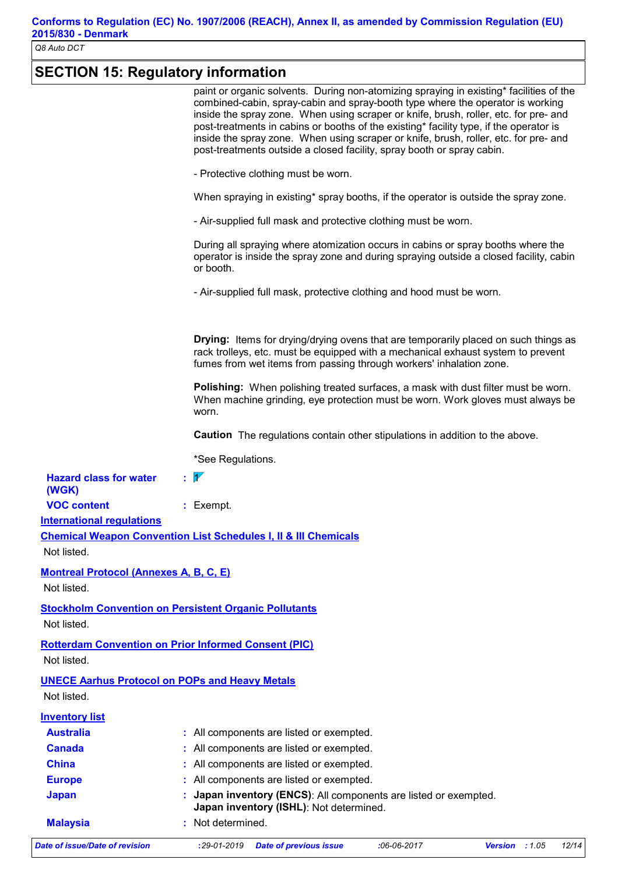# **SECTION 15: Regulatory information**

| Not listed.<br><b>UNECE Aarhus Protocol on POPs and Heavy Metals</b><br>Not listed.<br><b>Inventory list</b><br><b>Australia</b><br><b>Canada</b><br><b>China</b><br><b>Europe</b><br><b>Japan</b><br><b>Malaysia</b> | <b>Stockholm Convention on Persistent Organic Pollutants</b><br><b>Rotterdam Convention on Prior Informed Consent (PIC)</b><br>: All components are listed or exempted.<br>All components are listed or exempted.<br>All components are listed or exempted.<br>All components are listed or exempted.<br>Japan inventory (ENCS): All components are listed or exempted.<br>Japan inventory (ISHL): Not determined.<br>: Not determined. |
|-----------------------------------------------------------------------------------------------------------------------------------------------------------------------------------------------------------------------|-----------------------------------------------------------------------------------------------------------------------------------------------------------------------------------------------------------------------------------------------------------------------------------------------------------------------------------------------------------------------------------------------------------------------------------------|
|                                                                                                                                                                                                                       |                                                                                                                                                                                                                                                                                                                                                                                                                                         |
|                                                                                                                                                                                                                       |                                                                                                                                                                                                                                                                                                                                                                                                                                         |
|                                                                                                                                                                                                                       |                                                                                                                                                                                                                                                                                                                                                                                                                                         |
|                                                                                                                                                                                                                       |                                                                                                                                                                                                                                                                                                                                                                                                                                         |
|                                                                                                                                                                                                                       |                                                                                                                                                                                                                                                                                                                                                                                                                                         |
|                                                                                                                                                                                                                       |                                                                                                                                                                                                                                                                                                                                                                                                                                         |
|                                                                                                                                                                                                                       |                                                                                                                                                                                                                                                                                                                                                                                                                                         |
|                                                                                                                                                                                                                       |                                                                                                                                                                                                                                                                                                                                                                                                                                         |
|                                                                                                                                                                                                                       |                                                                                                                                                                                                                                                                                                                                                                                                                                         |
|                                                                                                                                                                                                                       |                                                                                                                                                                                                                                                                                                                                                                                                                                         |
|                                                                                                                                                                                                                       |                                                                                                                                                                                                                                                                                                                                                                                                                                         |
| Not listed.                                                                                                                                                                                                           |                                                                                                                                                                                                                                                                                                                                                                                                                                         |
|                                                                                                                                                                                                                       |                                                                                                                                                                                                                                                                                                                                                                                                                                         |
|                                                                                                                                                                                                                       |                                                                                                                                                                                                                                                                                                                                                                                                                                         |
| <b>Montreal Protocol (Annexes A, B, C, E)</b><br>Not listed.                                                                                                                                                          |                                                                                                                                                                                                                                                                                                                                                                                                                                         |
|                                                                                                                                                                                                                       |                                                                                                                                                                                                                                                                                                                                                                                                                                         |
| Not listed.                                                                                                                                                                                                           |                                                                                                                                                                                                                                                                                                                                                                                                                                         |
|                                                                                                                                                                                                                       | <b>Chemical Weapon Convention List Schedules I, II &amp; III Chemicals</b>                                                                                                                                                                                                                                                                                                                                                              |
| <b>VOC content</b><br><b>International regulations</b>                                                                                                                                                                | $:$ Exempt.                                                                                                                                                                                                                                                                                                                                                                                                                             |
| (WGK)                                                                                                                                                                                                                 |                                                                                                                                                                                                                                                                                                                                                                                                                                         |
| <b>Hazard class for water</b>                                                                                                                                                                                         | $\mathbf{1}$                                                                                                                                                                                                                                                                                                                                                                                                                            |
|                                                                                                                                                                                                                       | *See Regulations.                                                                                                                                                                                                                                                                                                                                                                                                                       |
|                                                                                                                                                                                                                       |                                                                                                                                                                                                                                                                                                                                                                                                                                         |
|                                                                                                                                                                                                                       | <b>Caution</b> The regulations contain other stipulations in addition to the above.                                                                                                                                                                                                                                                                                                                                                     |
|                                                                                                                                                                                                                       | worn.                                                                                                                                                                                                                                                                                                                                                                                                                                   |
|                                                                                                                                                                                                                       | Polishing: When polishing treated surfaces, a mask with dust filter must be worn.<br>When machine grinding, eye protection must be worn. Work gloves must always be                                                                                                                                                                                                                                                                     |
|                                                                                                                                                                                                                       |                                                                                                                                                                                                                                                                                                                                                                                                                                         |
|                                                                                                                                                                                                                       | rack trolleys, etc. must be equipped with a mechanical exhaust system to prevent<br>fumes from wet items from passing through workers' inhalation zone.                                                                                                                                                                                                                                                                                 |
|                                                                                                                                                                                                                       | <b>Drying:</b> Items for drying/drying ovens that are temporarily placed on such things as                                                                                                                                                                                                                                                                                                                                              |
|                                                                                                                                                                                                                       |                                                                                                                                                                                                                                                                                                                                                                                                                                         |
|                                                                                                                                                                                                                       | - Air-supplied full mask, protective clothing and hood must be worn.                                                                                                                                                                                                                                                                                                                                                                    |
|                                                                                                                                                                                                                       |                                                                                                                                                                                                                                                                                                                                                                                                                                         |
|                                                                                                                                                                                                                       | operator is inside the spray zone and during spraying outside a closed facility, cabin<br>or booth.                                                                                                                                                                                                                                                                                                                                     |
|                                                                                                                                                                                                                       | During all spraying where atomization occurs in cabins or spray booths where the                                                                                                                                                                                                                                                                                                                                                        |
|                                                                                                                                                                                                                       | - Air-supplied full mask and protective clothing must be worn.                                                                                                                                                                                                                                                                                                                                                                          |
|                                                                                                                                                                                                                       | When spraying in existing* spray booths, if the operator is outside the spray zone.                                                                                                                                                                                                                                                                                                                                                     |
|                                                                                                                                                                                                                       |                                                                                                                                                                                                                                                                                                                                                                                                                                         |
|                                                                                                                                                                                                                       | - Protective clothing must be worn.                                                                                                                                                                                                                                                                                                                                                                                                     |
|                                                                                                                                                                                                                       | post-treatments outside a closed facility, spray booth or spray cabin.                                                                                                                                                                                                                                                                                                                                                                  |
|                                                                                                                                                                                                                       | inside the spray zone. When using scraper or knife, brush, roller, etc. for pre- and                                                                                                                                                                                                                                                                                                                                                    |
|                                                                                                                                                                                                                       | inside the spray zone. When using scraper or knife, brush, roller, etc. for pre- and<br>post-treatments in cabins or booths of the existing* facility type, if the operator is                                                                                                                                                                                                                                                          |
|                                                                                                                                                                                                                       | paint or organic solvents. During non-atomizing spraying in existing* facilities of the<br>combined-cabin, spray-cabin and spray-booth type where the operator is working                                                                                                                                                                                                                                                               |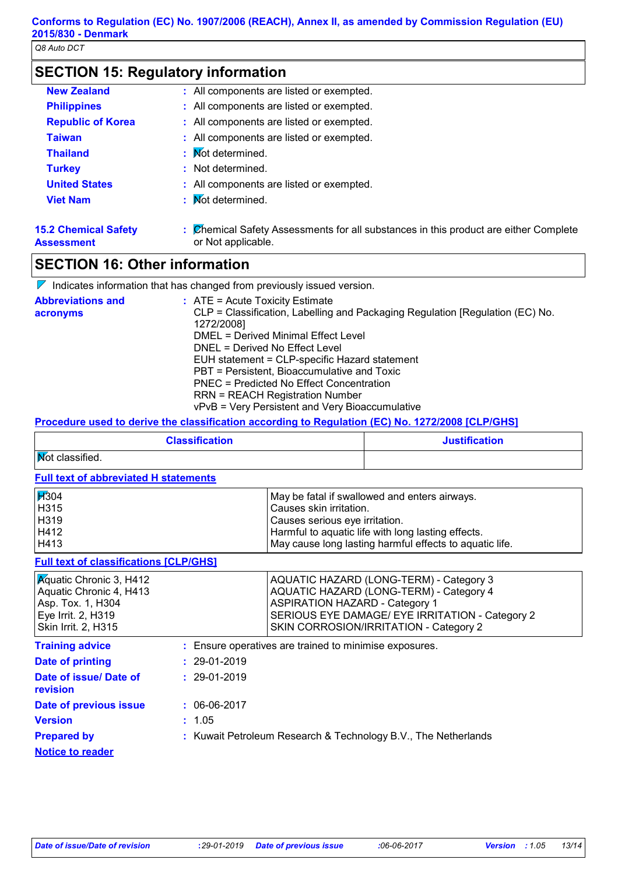| <b>SECTION 15: Regulatory information</b> |  |
|-------------------------------------------|--|
|-------------------------------------------|--|

| <b>New Zealand</b>                               | : All components are listed or exempted.                                                                   |
|--------------------------------------------------|------------------------------------------------------------------------------------------------------------|
| <b>Philippines</b>                               | : All components are listed or exempted.                                                                   |
| <b>Republic of Korea</b>                         | : All components are listed or exempted.                                                                   |
| <b>Taiwan</b>                                    | : All components are listed or exempted.                                                                   |
| <b>Thailand</b>                                  | : Mot determined.                                                                                          |
| <b>Turkey</b>                                    | : Not determined.                                                                                          |
| <b>United States</b>                             | : All components are listed or exempted.                                                                   |
| <b>Viet Nam</b>                                  | : Mot determined.                                                                                          |
| <b>15.2 Chemical Safety</b><br><b>Assessment</b> | : Chemical Safety Assessments for all substances in this product are either Complete<br>or Not applicable. |

## **SECTION 16: Other information**

| $\triangleright$ Indicates information that has changed from previously issued version.                                                                                                                                                                                                                                                                                                                                                                     |
|-------------------------------------------------------------------------------------------------------------------------------------------------------------------------------------------------------------------------------------------------------------------------------------------------------------------------------------------------------------------------------------------------------------------------------------------------------------|
| $\therefore$ ATE = Acute Toxicity Estimate<br>CLP = Classification, Labelling and Packaging Regulation [Regulation (EC) No.<br>1272/2008]<br>DMEL = Derived Minimal Effect Level<br>DNEL = Derived No Effect Level<br>EUH statement = CLP-specific Hazard statement<br>PBT = Persistent, Bioaccumulative and Toxic<br>PNEC = Predicted No Effect Concentration<br><b>RRN = REACH Registration Number</b><br>vPvB = Very Persistent and Very Bioaccumulative |
|                                                                                                                                                                                                                                                                                                                                                                                                                                                             |

#### **Procedure used to derive the classification according to Regulation (EC) No. 1272/2008 [CLP/GHS]**

| <b>Classification</b>  | <b>Justification</b> |
|------------------------|----------------------|
| <b>Not classified.</b> |                      |

#### **Full text of abbreviated H statements**

| <b>H</b> 304 | May be fatal if swallowed and enters airways.           |
|--------------|---------------------------------------------------------|
| H315         | Causes skin irritation.                                 |
| H319         | Causes serious eye irritation.                          |
| H412         | Harmful to aquatic life with long lasting effects.      |
| H413         | May cause long lasting harmful effects to aquatic life. |

#### **Full text of classifications [CLP/GHS]**

| <b>Aguatic Chronic 3, H412</b> | AQUATIC HAZARD (LONG-TERM) - Category 3         |
|--------------------------------|-------------------------------------------------|
| Aquatic Chronic 4, H413        | AQUATIC HAZARD (LONG-TERM) - Category 4         |
| Asp. Tox. 1, H304              | <b>ASPIRATION HAZARD - Category 1</b>           |
| Eye Irrit. 2, H319             | SERIOUS EYE DAMAGE/ EYE IRRITATION - Category 2 |
| Skin Irrit. 2, H315            | <b>SKIN CORROSION/IRRITATION - Category 2</b>   |

| <b>Training advice</b>                        | : Ensure operatives are trained to minimise exposures.         |
|-----------------------------------------------|----------------------------------------------------------------|
| Date of printing                              | $: 29-01-2019$                                                 |
| Date of issue/ Date of<br>revision            | $: 29-01-2019$                                                 |
| Date of previous issue                        | $: 06-06-2017$                                                 |
| <b>Version</b>                                | : 1.05                                                         |
| <b>Prepared by</b><br><b>Notice to reader</b> | : Kuwait Petroleum Research & Technology B.V., The Netherlands |